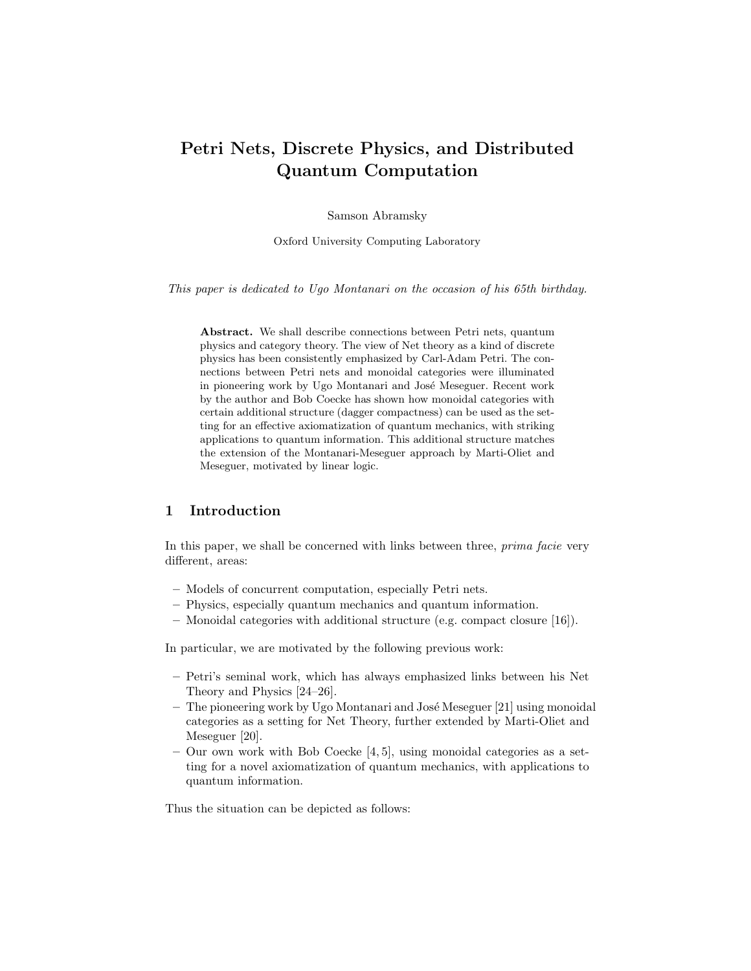# Petri Nets, Discrete Physics, and Distributed Quantum Computation

Samson Abramsky

Oxford University Computing Laboratory

This paper is dedicated to Ugo Montanari on the occasion of his 65th birthday.

Abstract. We shall describe connections between Petri nets, quantum physics and category theory. The view of Net theory as a kind of discrete physics has been consistently emphasized by Carl-Adam Petri. The connections between Petri nets and monoidal categories were illuminated in pioneering work by Ugo Montanari and José Meseguer. Recent work by the author and Bob Coecke has shown how monoidal categories with certain additional structure (dagger compactness) can be used as the setting for an effective axiomatization of quantum mechanics, with striking applications to quantum information. This additional structure matches the extension of the Montanari-Meseguer approach by Marti-Oliet and Meseguer, motivated by linear logic.

# 1 Introduction

In this paper, we shall be concerned with links between three, *prima facie* very different, areas:

- Models of concurrent computation, especially Petri nets.
- Physics, especially quantum mechanics and quantum information.
- Monoidal categories with additional structure (e.g. compact closure [16]).

In particular, we are motivated by the following previous work:

- Petri's seminal work, which has always emphasized links between his Net Theory and Physics [24–26].
- $-$  The pioneering work by Ugo Montanari and José Meseguer [21] using monoidal categories as a setting for Net Theory, further extended by Marti-Oliet and Meseguer [20].
- Our own work with Bob Coecke [4, 5], using monoidal categories as a setting for a novel axiomatization of quantum mechanics, with applications to quantum information.

Thus the situation can be depicted as follows: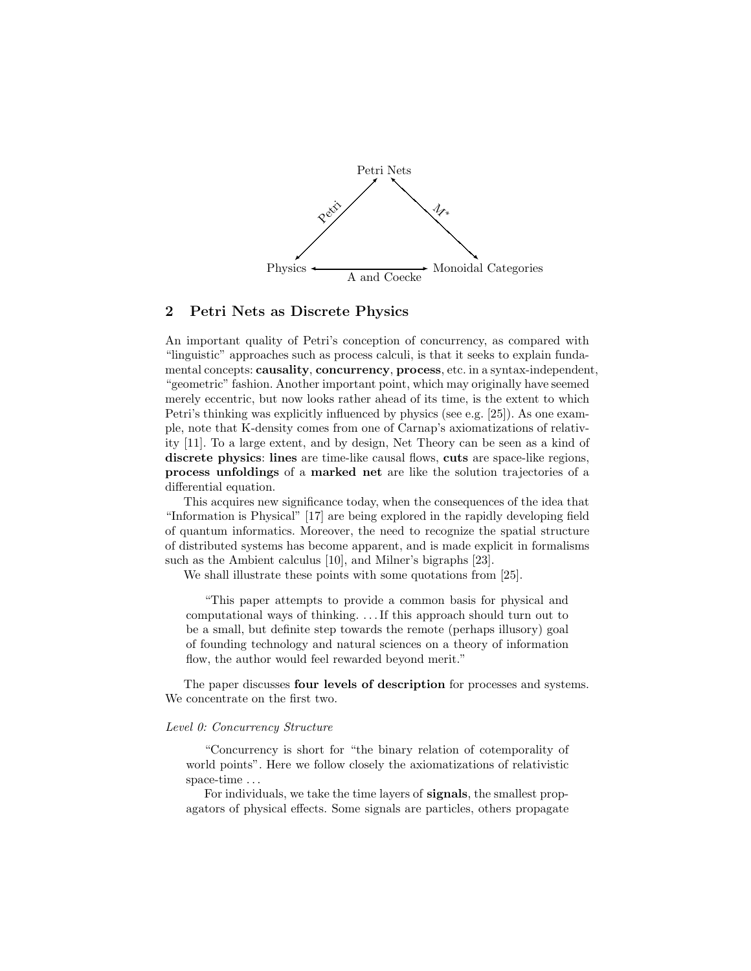

### 2 Petri Nets as Discrete Physics

An important quality of Petri's conception of concurrency, as compared with "linguistic" approaches such as process calculi, is that it seeks to explain fundamental concepts: causality, concurrency, process, etc. in a syntax-independent, "geometric" fashion. Another important point, which may originally have seemed merely eccentric, but now looks rather ahead of its time, is the extent to which Petri's thinking was explicitly influenced by physics (see e.g. [25]). As one example, note that K-density comes from one of Carnap's axiomatizations of relativity [11]. To a large extent, and by design, Net Theory can be seen as a kind of discrete physics: lines are time-like causal flows, cuts are space-like regions, process unfoldings of a marked net are like the solution trajectories of a differential equation.

This acquires new significance today, when the consequences of the idea that "Information is Physical" [17] are being explored in the rapidly developing field of quantum informatics. Moreover, the need to recognize the spatial structure of distributed systems has become apparent, and is made explicit in formalisms such as the Ambient calculus [10], and Milner's bigraphs [23].

We shall illustrate these points with some quotations from [25].

"This paper attempts to provide a common basis for physical and computational ways of thinking. . . . If this approach should turn out to be a small, but definite step towards the remote (perhaps illusory) goal of founding technology and natural sciences on a theory of information flow, the author would feel rewarded beyond merit."

The paper discusses four levels of description for processes and systems. We concentrate on the first two.

#### Level 0: Concurrency Structure

"Concurrency is short for "the binary relation of cotemporality of world points". Here we follow closely the axiomatizations of relativistic space-time . . .

For individuals, we take the time layers of signals, the smallest propagators of physical effects. Some signals are particles, others propagate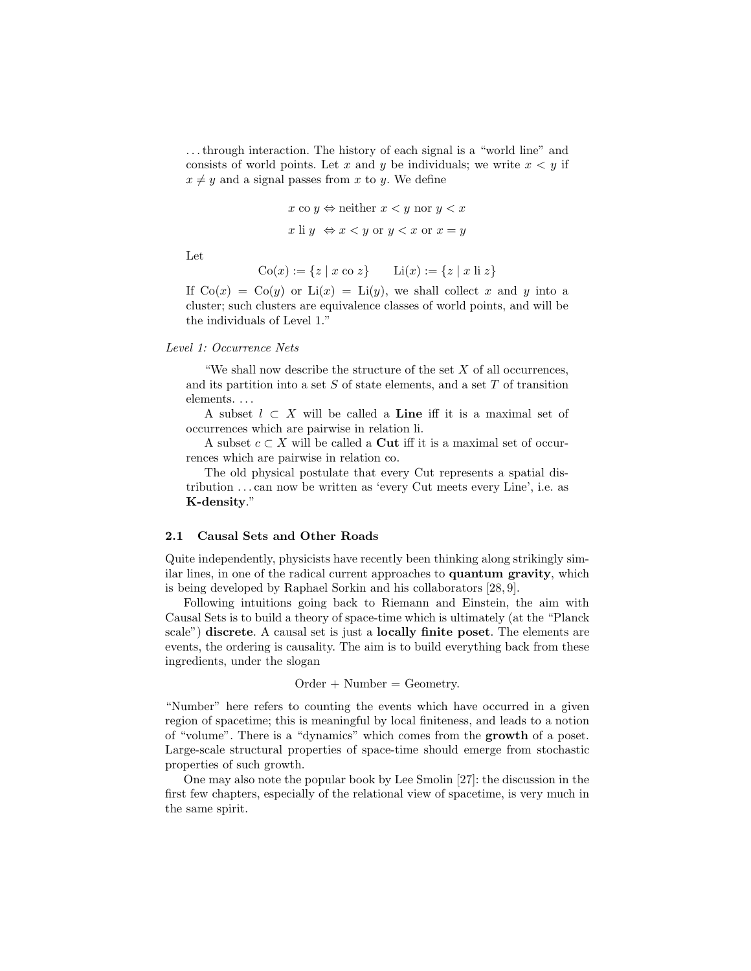. . . through interaction. The history of each signal is a "world line" and consists of world points. Let x and y be individuals; we write  $x < y$  if  $x \neq y$  and a signal passes from x to y. We define

$$
x \text{ co } y \Leftrightarrow \text{neither } x < y \text{ nor } y < x
$$

$$
x \text{ li } y \Leftrightarrow x < y \text{ or } y < x \text{ or } x = y
$$

Let

$$
Co(x) := \{ z \mid x \text{ co } z \} \qquad \text{Li}(x) := \{ z \mid x \text{ li } z \}
$$

If  $Co(x) = Co(y)$  or  $Li(x) = Li(y)$ , we shall collect x and y into a cluster; such clusters are equivalence classes of world points, and will be the individuals of Level 1."

#### Level 1: Occurrence Nets

"We shall now describe the structure of the set  $X$  of all occurrences, and its partition into a set  $S$  of state elements, and a set  $T$  of transition elements. . . .

A subset  $l \subset X$  will be called a **Line** iff it is a maximal set of occurrences which are pairwise in relation li.

A subset  $c \subset X$  will be called a **Cut** iff it is a maximal set of occurrences which are pairwise in relation co.

The old physical postulate that every Cut represents a spatial distribution . . . can now be written as 'every Cut meets every Line', i.e. as K-density."

#### 2.1 Causal Sets and Other Roads

Quite independently, physicists have recently been thinking along strikingly similar lines, in one of the radical current approaches to quantum gravity, which is being developed by Raphael Sorkin and his collaborators [28, 9].

Following intuitions going back to Riemann and Einstein, the aim with Causal Sets is to build a theory of space-time which is ultimately (at the "Planck scale") discrete. A causal set is just a locally finite poset. The elements are events, the ordering is causality. The aim is to build everything back from these ingredients, under the slogan

$$
Order + Number = Geometry.
$$

"Number" here refers to counting the events which have occurred in a given region of spacetime; this is meaningful by local finiteness, and leads to a notion of "volume". There is a "dynamics" which comes from the growth of a poset. Large-scale structural properties of space-time should emerge from stochastic properties of such growth.

One may also note the popular book by Lee Smolin [27]: the discussion in the first few chapters, especially of the relational view of spacetime, is very much in the same spirit.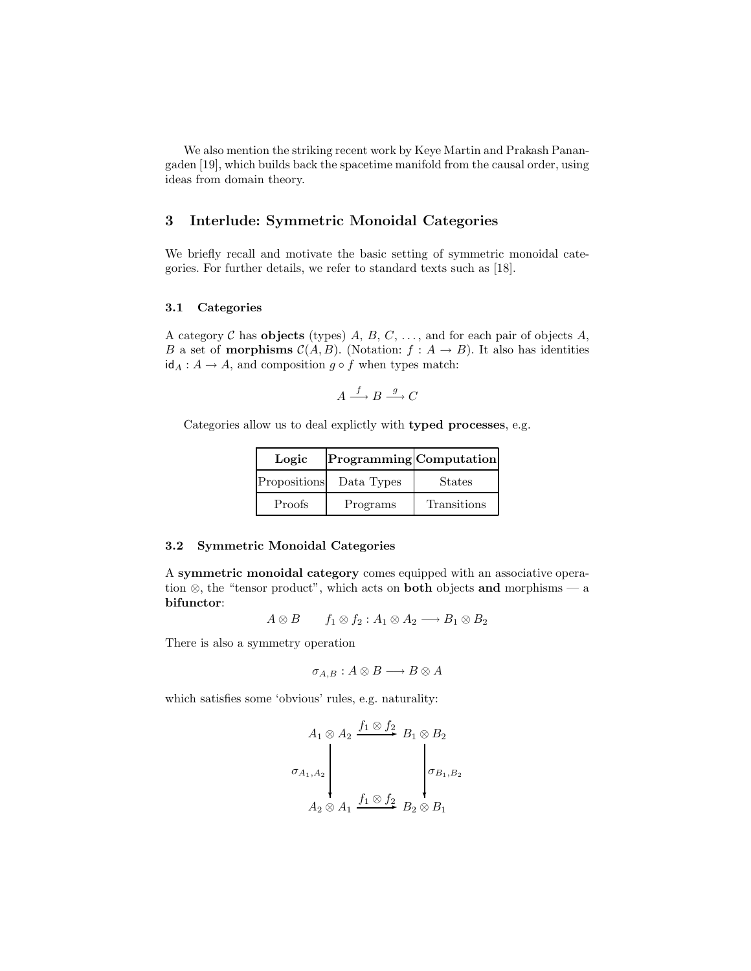We also mention the striking recent work by Keye Martin and Prakash Panangaden [19], which builds back the spacetime manifold from the causal order, using ideas from domain theory.

# 3 Interlude: Symmetric Monoidal Categories

We briefly recall and motivate the basic setting of symmetric monoidal categories. For further details, we refer to standard texts such as [18].

#### 3.1 Categories

A category C has objects (types) A, B, C, ..., and for each pair of objects A, B a set of **morphisms**  $C(A, B)$ . (Notation:  $f : A \rightarrow B$ ). It also has identities  $id_A: A \to A$ , and composition  $g \circ f$  when types match:

$$
A \xrightarrow{f} B \xrightarrow{g} C
$$

Categories allow us to deal explictly with typed processes, e.g.

| Logic        | Programming Computation |               |
|--------------|-------------------------|---------------|
| Propositions | Data Types              | <b>States</b> |
| Proofs       | Programs                | Transitions   |

#### 3.2 Symmetric Monoidal Categories

A symmetric monoidal category comes equipped with an associative operation  $\otimes$ , the "tensor product", which acts on **both** objects and morphisms — a bifunctor:

$$
A \otimes B \qquad f_1 \otimes f_2 : A_1 \otimes A_2 \longrightarrow B_1 \otimes B_2
$$

There is also a symmetry operation

$$
\sigma_{A,B}: A \otimes B \longrightarrow B \otimes A
$$

which satisfies some 'obvious' rules, e.g. naturality:

$$
\sigma_{A_1, A_2} \begin{pmatrix} f_1 \otimes f_2 \\ \vdots \\ f_{a_1, A_2} \end{pmatrix} B_1 \otimes B_2
$$
\n
$$
A_2 \otimes A_1 \xrightarrow{f_1 \otimes f_2} B_2 \otimes B_1
$$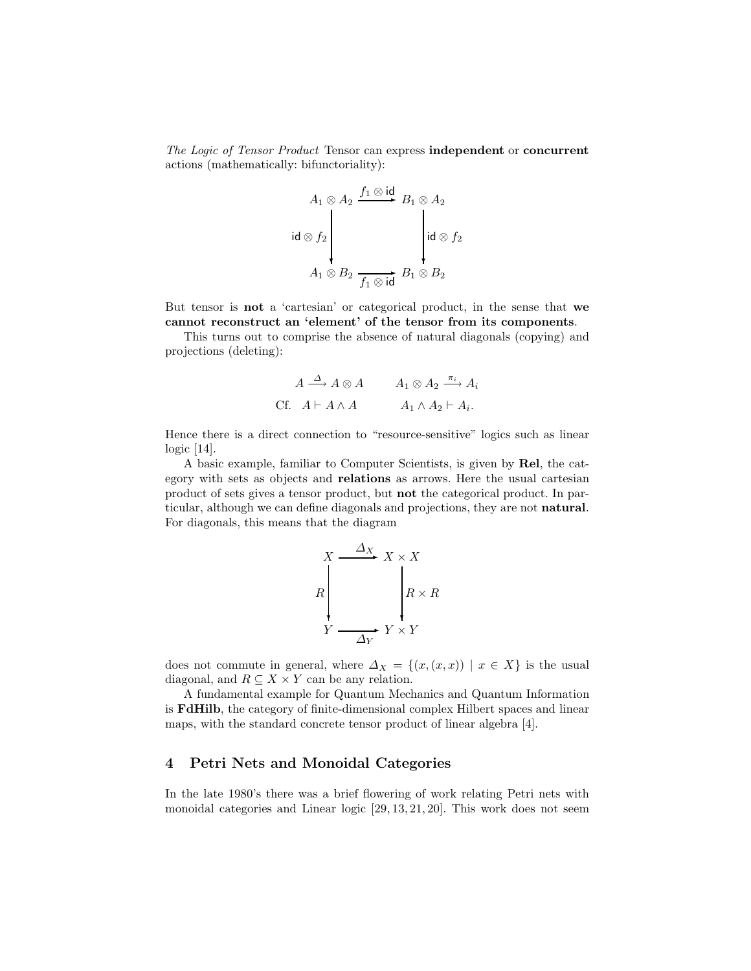The Logic of Tensor Product Tensor can express independent or concurrent actions (mathematically: bifunctoriality):

$$
A_1 \otimes A_2 \xrightarrow{f_1 \otimes \text{id}} B_1 \otimes A_2
$$
  
id  $\otimes f_2$   

$$
A_1 \otimes B_2 \xrightarrow{f_1 \otimes \text{id}} B_1 \otimes B_2
$$

But tensor is not a 'cartesian' or categorical product, in the sense that we cannot reconstruct an 'element' of the tensor from its components.

This turns out to comprise the absence of natural diagonals (copying) and projections (deleting):

$$
A \xrightarrow{\Delta} A \otimes A \qquad A_1 \otimes A_2 \xrightarrow{\pi_i} A_i
$$
  
CF. 
$$
A \vdash A \wedge A \qquad A_1 \wedge A_2 \vdash A_i.
$$

Hence there is a direct connection to "resource-sensitive" logics such as linear logic [14].

A basic example, familiar to Computer Scientists, is given by Rel, the category with sets as objects and relations as arrows. Here the usual cartesian product of sets gives a tensor product, but not the categorical product. In particular, although we can define diagonals and projections, they are not natural. For diagonals, this means that the diagram

$$
R\begin{array}{c}\nX \xrightarrow{\Delta_X} X \times X \\
R\n\end{array}\n\begin{array}{c}\nR \times R \\
R \times R \\
Y \longrightarrow Y \times Y\n\end{array}
$$

does not commute in general, where  $\Delta_X = \{(x,(x,x)) \mid x \in X\}$  is the usual diagonal, and  $R \subseteq X \times Y$  can be any relation.

A fundamental example for Quantum Mechanics and Quantum Information is FdHilb, the category of finite-dimensional complex Hilbert spaces and linear maps, with the standard concrete tensor product of linear algebra [4].

# 4 Petri Nets and Monoidal Categories

In the late 1980's there was a brief flowering of work relating Petri nets with monoidal categories and Linear logic [29, 13, 21, 20]. This work does not seem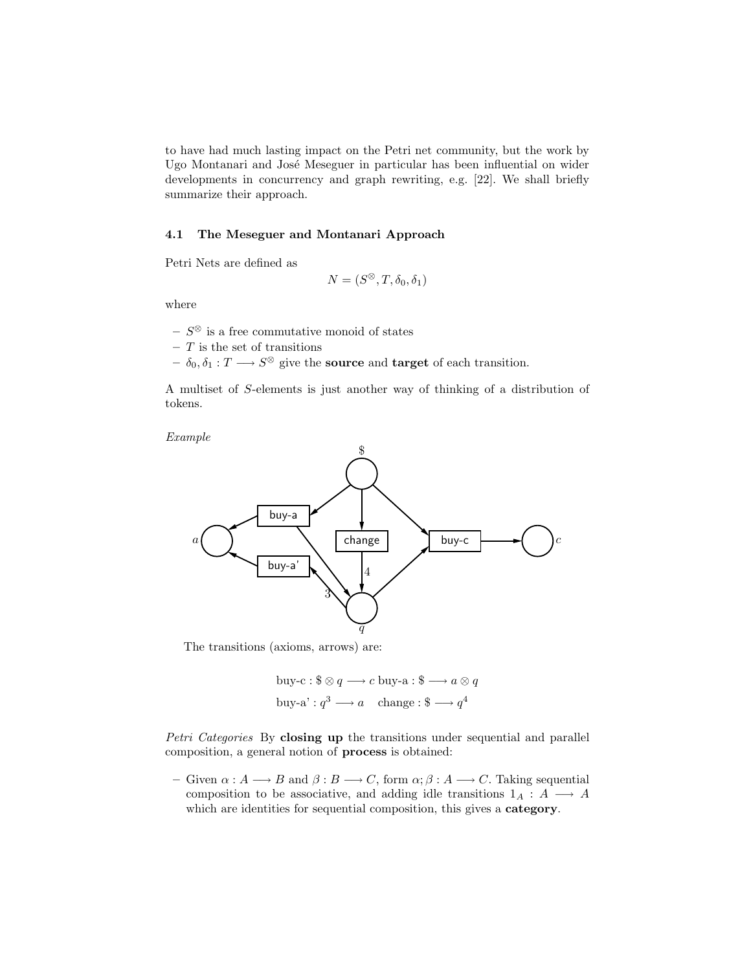to have had much lasting impact on the Petri net community, but the work by Ugo Montanari and José Meseguer in particular has been influential on wider developments in concurrency and graph rewriting, e.g. [22]. We shall briefly summarize their approach.

#### 4.1 The Meseguer and Montanari Approach

Petri Nets are defined as

$$
N = (S^{\otimes}, T, \delta_0, \delta_1)
$$

where

- $− S^{\otimes}$  is a free commutative monoid of states
- $T$  is the set of transitions
- $\delta_0, \delta_1 : T \longrightarrow S^{\otimes}$  give the **source** and **target** of each transition.

A multiset of S-elements is just another way of thinking of a distribution of tokens.

Example



The transitions (axioms, arrows) are:

buy-c: 
$$
\$\otimes q \longrightarrow c
$$
 buy-a:  $\$\longrightarrow a \otimes q$   
buy-a':  $q^3 \longrightarrow a$  change:  $\$\longrightarrow q^4$ 

Petri Categories By closing up the transitions under sequential and parallel composition, a general notion of process is obtained:

– Given  $\alpha : A \longrightarrow B$  and  $\beta : B \longrightarrow C$ , form  $\alpha : A \longrightarrow C$ . Taking sequential composition to be associative, and adding idle transitions  $1_A : A \longrightarrow A$ which are identities for sequential composition, this gives a category.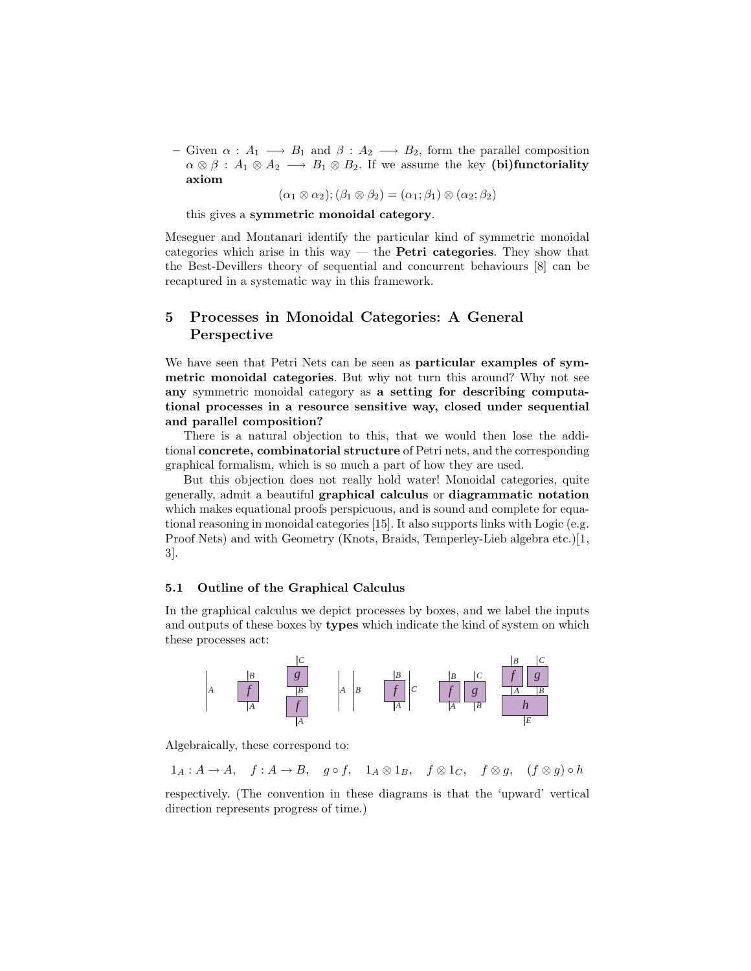– Given  $\alpha : A_1 \longrightarrow B_1$  and  $\beta : A_2 \longrightarrow B_2$ , form the parallel composition  $\alpha \otimes \beta : A_1 \otimes A_2 \longrightarrow B_1 \otimes B_2$ . If we assume the key (bi)functoriality axiom

 $(\alpha_1 \otimes \alpha_2); (\beta_1 \otimes \beta_2) = (\alpha_1; \beta_1) \otimes (\alpha_2; \beta_2)$ 

this gives a symmetric monoidal category.

Meseguer and Montanari identify the particular kind of symmetric monoidal categories which arise in this way — the **Petri categories**. They show that the Best-Devillers theory of sequential and concurrent behaviours [8] can be recaptured in a systematic way in this framework.

# 5 Processes in Monoidal Categories: A General Perspective

We have seen that Petri Nets can be seen as particular examples of symmetric monoidal categories. But why not turn this around? Why not see any symmetric monoidal category as a setting for describing computational processes in a resource sensitive way, closed under sequential and parallel composition?

There is a natural objection to this, that we would then lose the additional concrete, combinatorial structure of Petri nets, and the corresponding graphical formalism, which is so much a part of how they are used.

But this objection does not really hold water! Monoidal categories, quite generally, admit a beautiful graphical calculus or diagrammatic notation which makes equational proofs perspicuous, and is sound and complete for equational reasoning in monoidal categories [15]. It also supports links with Logic (e.g. Proof Nets) and with Geometry (Knots, Braids, Temperley-Lieb algebra etc.)[1, 3].

#### 5.1 Outline of the Graphical Calculus

In the graphical calculus we depict processes by boxes, and we label the inputs and outputs of these boxes by types which indicate the kind of system on which these processes act:



Algebraically, these correspond to:

 $1_A: A \to A$ ,  $f: A \to B$ ,  $g \circ f$ ,  $1_A \otimes 1_B$ ,  $f \otimes 1_C$ ,  $f \otimes g$ ,  $(f \otimes g) \circ h$ 

respectively. (The convention in these diagrams is that the 'upward' vertical direction represents progress of time.)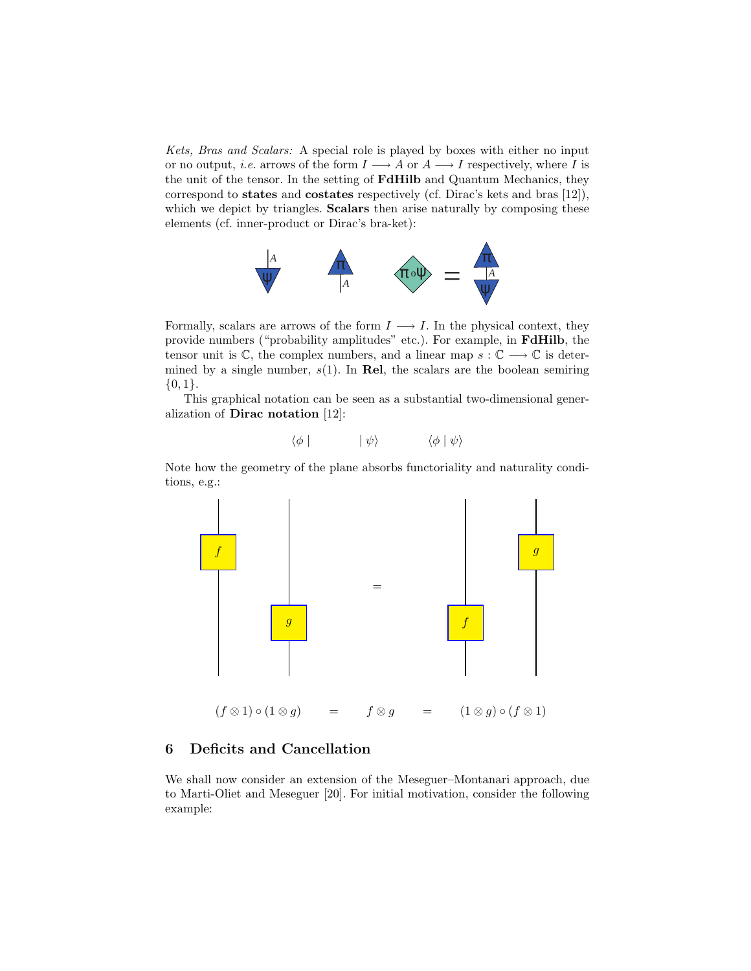Kets, Bras and Scalars: A special role is played by boxes with either no input or no output, *i.e.* arrows of the form  $I \longrightarrow A$  or  $A \longrightarrow I$  respectively, where I is the unit of the tensor. In the setting of FdHilb and Quantum Mechanics, they correspond to states and costates respectively (cf. Dirac's kets and bras [12]), which we depict by triangles. **Scalars** then arise naturally by composing these elements (cf. inner-product or Dirac's bra-ket):



Formally, scalars are arrows of the form  $I \longrightarrow I$ . In the physical context, they provide numbers ("probability amplitudes" etc.). For example, in FdHilb, the tensor unit is  $\mathbb{C}$ , the complex numbers, and a linear map  $s : \mathbb{C} \longrightarrow \mathbb{C}$  is determined by a single number,  $s(1)$ . In Rel, the scalars are the boolean semiring  $\{0,1\}.$ 

This graphical notation can be seen as a substantial two-dimensional generalization of Dirac notation [12]:

$$
\langle \phi | \qquad \qquad | \psi \rangle \qquad \qquad \langle \phi | \psi \rangle
$$

Note how the geometry of the plane absorbs functoriality and naturality conditions, e.g.:



# 6 Deficits and Cancellation

We shall now consider an extension of the Meseguer–Montanari approach, due to Marti-Oliet and Meseguer [20]. For initial motivation, consider the following example: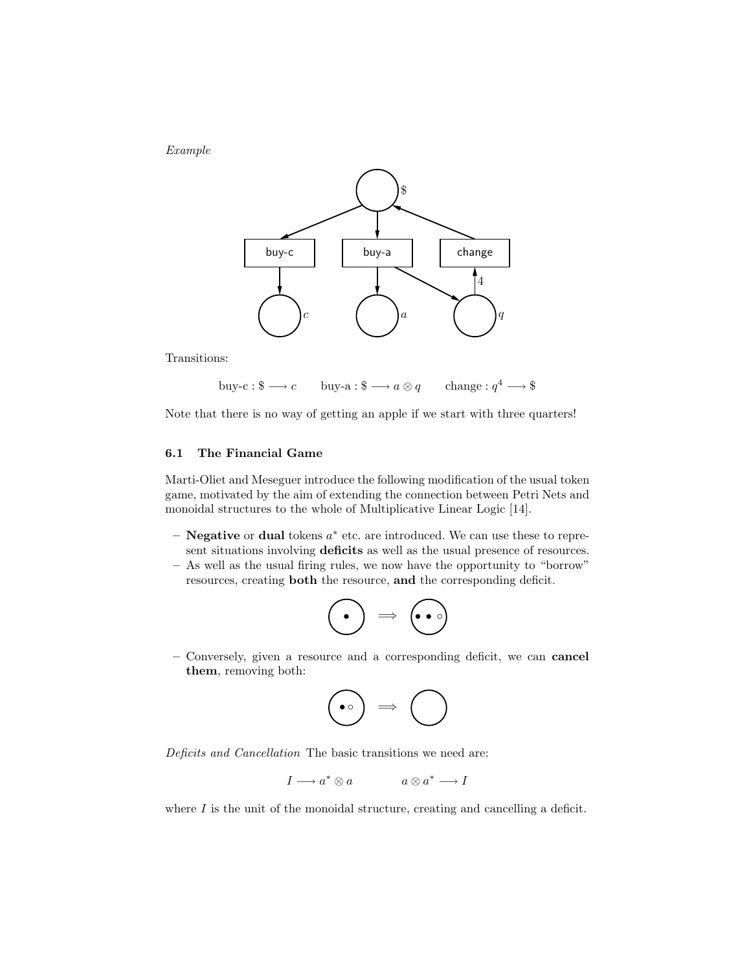Example



Transitions:

buy-c :  $\$\longrightarrow c$  buy-a :  $\$\longrightarrow a\otimes q$ change :  $q^4 \longrightarrow$  \$

Note that there is no way of getting an apple if we start with three quarters!

# 6.1 The Financial Game

Marti-Oliet and Meseguer introduce the following modification of the usual token game, motivated by the aim of extending the connection between Petri Nets and monoidal structures to the whole of Multiplicative Linear Logic [14].

- $-$  **Negative** or **dual** tokens  $a^*$  etc. are introduced. We can use these to represent situations involving deficits as well as the usual presence of resources.
- As well as the usual firing rules, we now have the opportunity to "borrow" resources, creating both the resource, and the corresponding deficit.

$$
\bigodot \Rightarrow \bigodot
$$

– Conversely, given a resource and a corresponding deficit, we can cancel them, removing both:

$$
\bigodot \Rightarrow \bigodot
$$

Deficits and Cancellation The basic transitions we need are:

$$
I \longrightarrow a^* \otimes a \qquad \qquad a \otimes a^* \longrightarrow I
$$

where  $I$  is the unit of the monoidal structure, creating and cancelling a deficit.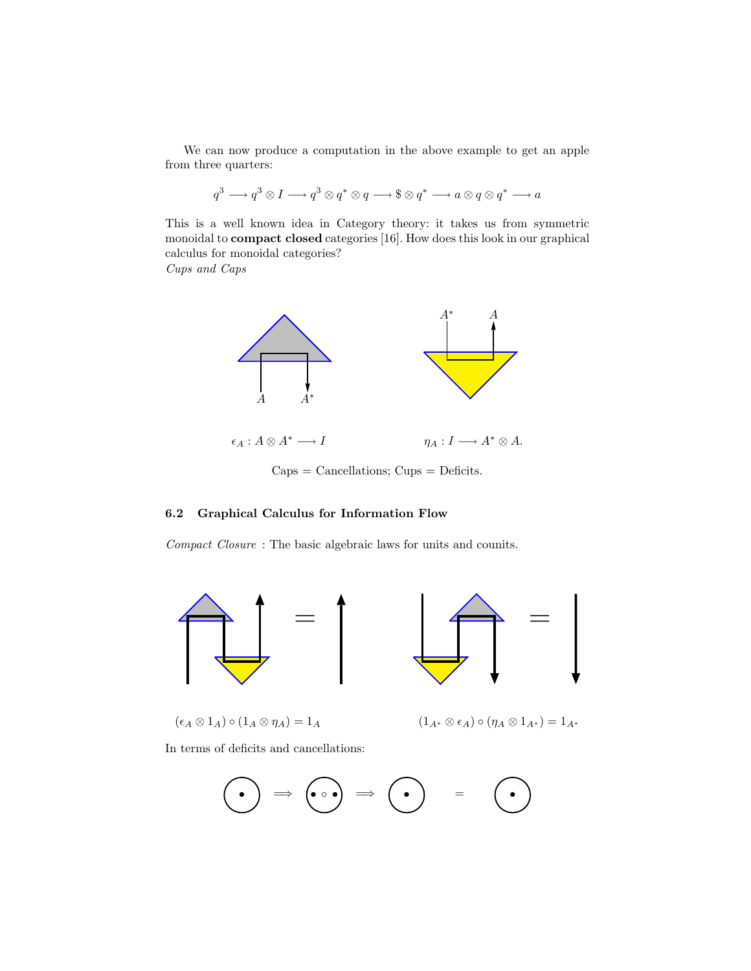We can now produce a computation in the above example to get an apple from three quarters:

$$
q^3 \longrightarrow q^3 \otimes I \longrightarrow q^3 \otimes q^* \otimes q \longrightarrow \$ \otimes q^* \longrightarrow a \otimes q \otimes q^* \longrightarrow a
$$

This is a well known idea in Category theory: it takes us from symmetric monoidal to compact closed categories [16]. How does this look in our graphical calculus for monoidal categories?

Cups and Caps



Caps = Cancellations; Cups = Deficits.

# 6.2 Graphical Calculus for Information Flow

Compact Closure : The basic algebraic laws for units and counits.



 $(\epsilon_A \otimes 1_A) \circ (1_A \otimes \eta_A) = 1_A$ 



$$
(1_{A^*} \otimes \epsilon_A) \circ (\eta_A \otimes 1_{A^*}) = 1_{A^*}
$$

In terms of deficits and cancellations:

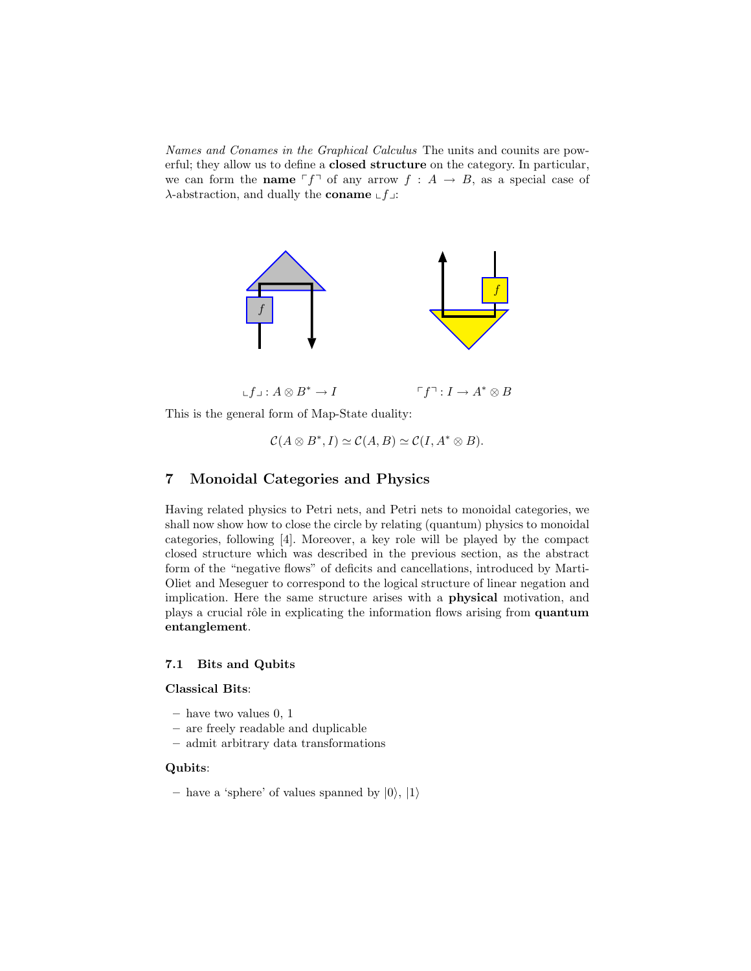Names and Conames in the Graphical Calculus The units and counits are powerful; they allow us to define a closed structure on the category. In particular, we can form the **name**  $\ulcorner f \urcorner$  of any arrow  $f : A \rightarrow B$ , as a special case of λ-abstraction, and dually the coname  $\llcorner f\lrcorner$ :



This is the general form of Map-State duality:

$$
\mathcal{C}(A\otimes B^*,I)\simeq \mathcal{C}(A,B)\simeq \mathcal{C}(I,A^*\otimes B).
$$

# 7 Monoidal Categories and Physics

Having related physics to Petri nets, and Petri nets to monoidal categories, we shall now show how to close the circle by relating (quantum) physics to monoidal categories, following [4]. Moreover, a key role will be played by the compact closed structure which was described in the previous section, as the abstract form of the "negative flows" of deficits and cancellations, introduced by Marti-Oliet and Meseguer to correspond to the logical structure of linear negation and implication. Here the same structure arises with a physical motivation, and plays a crucial rôle in explicating the information flows arising from quantum entanglement.

#### 7.1 Bits and Qubits

#### Classical Bits:

- have two values 0, 1
- are freely readable and duplicable
- admit arbitrary data transformations

## Qubits:

– have a 'sphere' of values spanned by  $|0\rangle, |1\rangle$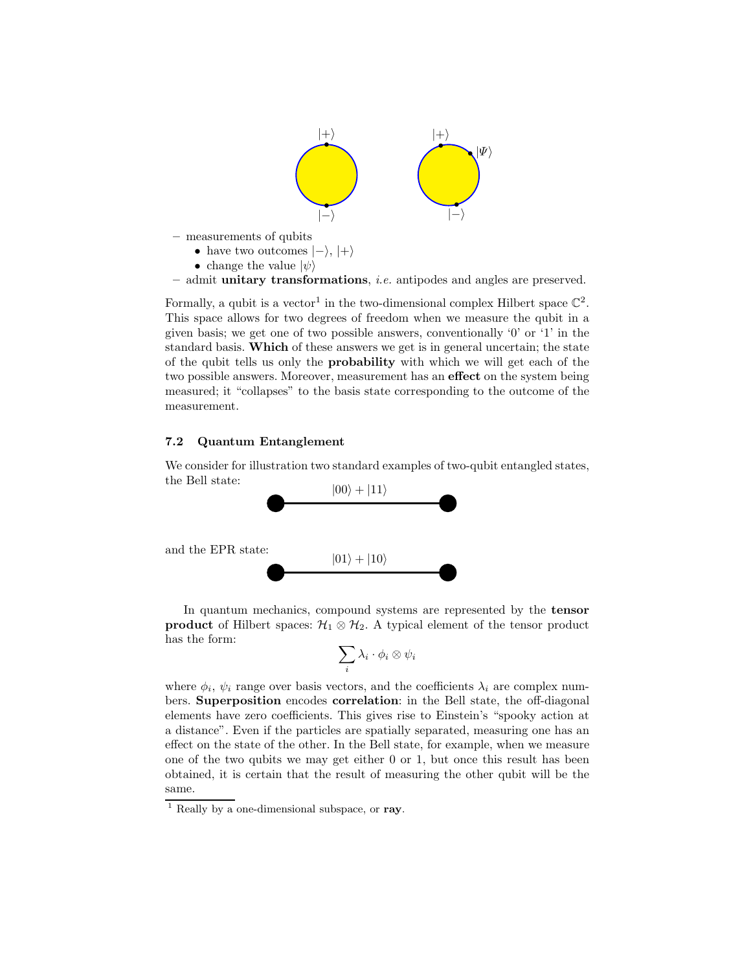

Formally, a qubit is a vector<sup>1</sup> in the two-dimensional complex Hilbert space  $\mathbb{C}^2$ . This space allows for two degrees of freedom when we measure the qubit in a given basis; we get one of two possible answers, conventionally '0' or '1' in the standard basis. Which of these answers we get is in general uncertain; the state of the qubit tells us only the probability with which we will get each of the two possible answers. Moreover, measurement has an effect on the system being measured; it "collapses" to the basis state corresponding to the outcome of the measurement.

#### 7.2 Quantum Entanglement

We consider for illustration two standard examples of two-qubit entangled states, the Bell state:  $|00\rangle + |11\rangle$ 



In quantum mechanics, compound systems are represented by the tensor **product** of Hilbert spaces:  $\mathcal{H}_1 \otimes \mathcal{H}_2$ . A typical element of the tensor product has the form:

$$
\sum_i \lambda_i \cdot \phi_i \otimes \psi_i
$$

where  $\phi_i$ ,  $\psi_i$  range over basis vectors, and the coefficients  $\lambda_i$  are complex numbers. Superposition encodes correlation: in the Bell state, the off-diagonal elements have zero coefficients. This gives rise to Einstein's "spooky action at a distance". Even if the particles are spatially separated, measuring one has an effect on the state of the other. In the Bell state, for example, when we measure one of the two qubits we may get either 0 or 1, but once this result has been obtained, it is certain that the result of measuring the other qubit will be the same.

 $<sup>1</sup>$  Really by a one-dimensional subspace, or ray.</sup>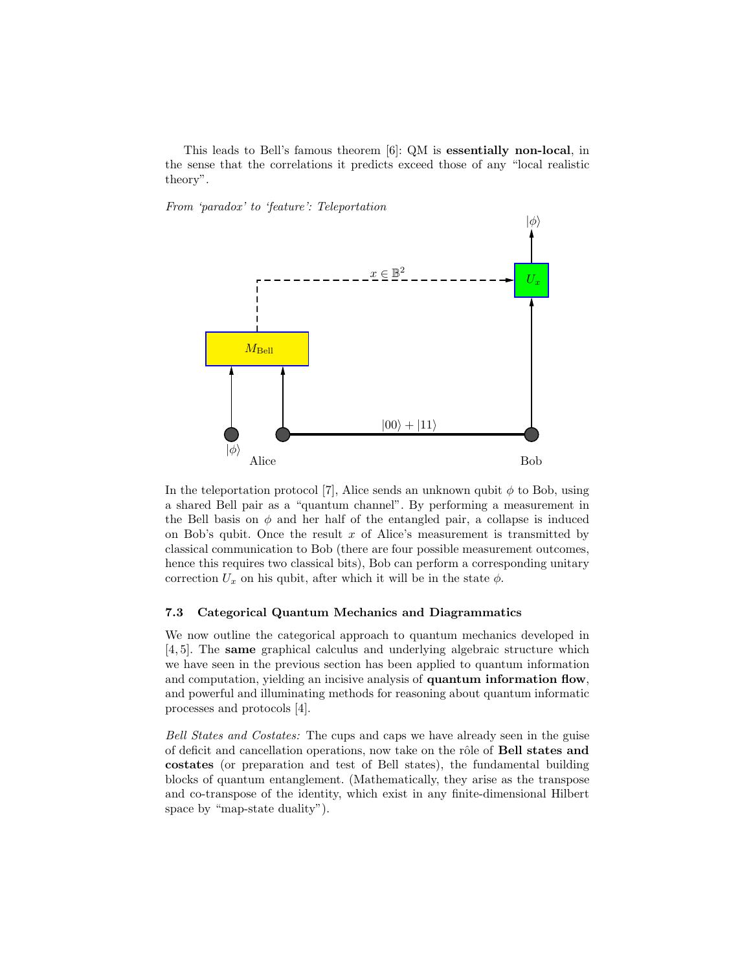This leads to Bell's famous theorem [6]: QM is essentially non-local, in the sense that the correlations it predicts exceed those of any "local realistic theory".

From 'paradox' to 'feature': Teleportation



In the teleportation protocol [7], Alice sends an unknown qubit  $\phi$  to Bob, using a shared Bell pair as a "quantum channel". By performing a measurement in the Bell basis on  $\phi$  and her half of the entangled pair, a collapse is induced on Bob's qubit. Once the result  $x$  of Alice's measurement is transmitted by classical communication to Bob (there are four possible measurement outcomes, hence this requires two classical bits), Bob can perform a corresponding unitary correction  $U_x$  on his qubit, after which it will be in the state  $\phi$ .

# 7.3 Categorical Quantum Mechanics and Diagrammatics

We now outline the categorical approach to quantum mechanics developed in [4, 5]. The same graphical calculus and underlying algebraic structure which we have seen in the previous section has been applied to quantum information and computation, yielding an incisive analysis of **quantum information flow**, and powerful and illuminating methods for reasoning about quantum informatic processes and protocols [4].

Bell States and Costates: The cups and caps we have already seen in the guise of deficit and cancellation operations, now take on the rôle of **Bell states and** costates (or preparation and test of Bell states), the fundamental building blocks of quantum entanglement. (Mathematically, they arise as the transpose and co-transpose of the identity, which exist in any finite-dimensional Hilbert space by "map-state duality").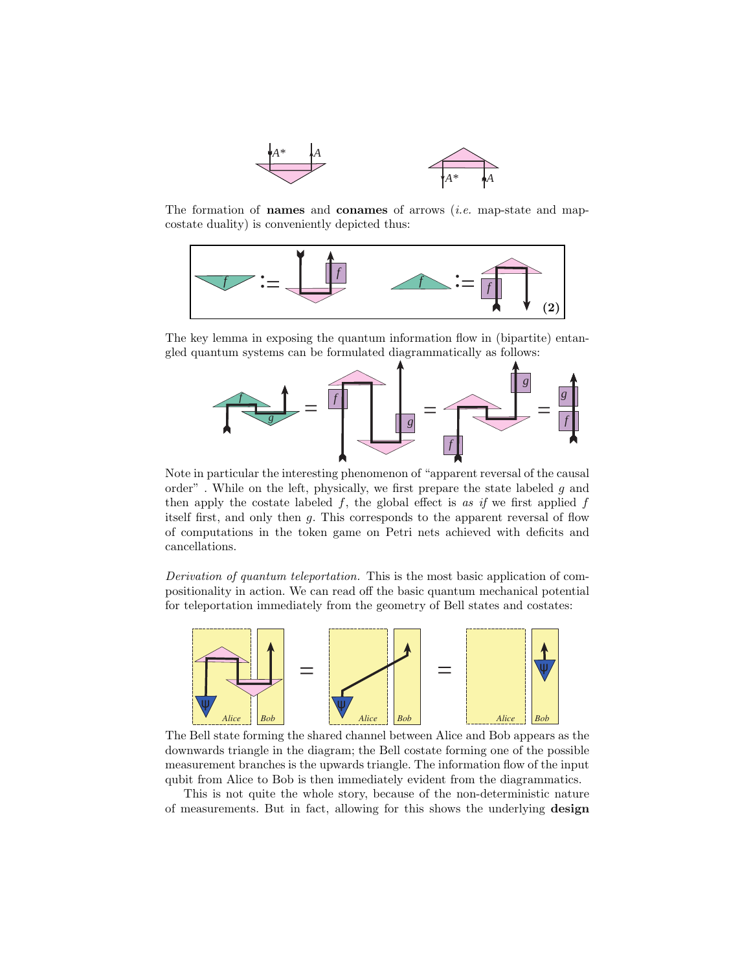

The formation of **names** and **conames** of arrows (*i.e.* map-state and mapcostate duality) is conveniently depicted thus:



The key lemma in exposing the quantum information flow in (bipartite) entangled quantum systems can be formulated diagrammatically as follows:



Note in particular the interesting phenomenon of "apparent reversal of the causal order". While on the left, physically, we first prepare the state labeled  $q$  and then apply the costate labeled  $f$ , the global effect is as if we first applied  $f$ itself first, and only then g. This corresponds to the apparent reversal of flow of computations in the token game on Petri nets achieved with deficits and cancellations.

Derivation of quantum teleportation. This is the most basic application of compositionality in action. We can read off the basic quantum mechanical potential for teleportation immediately from the geometry of Bell states and costates:



The Bell state forming the shared channel between Alice and Bob appears as the downwards triangle in the diagram; the Bell costate forming one of the possible measurement branches is the upwards triangle. The information flow of the input qubit from Alice to Bob is then immediately evident from the diagrammatics.

This is not quite the whole story, because of the non-deterministic nature of measurements. But in fact, allowing for this shows the underlying design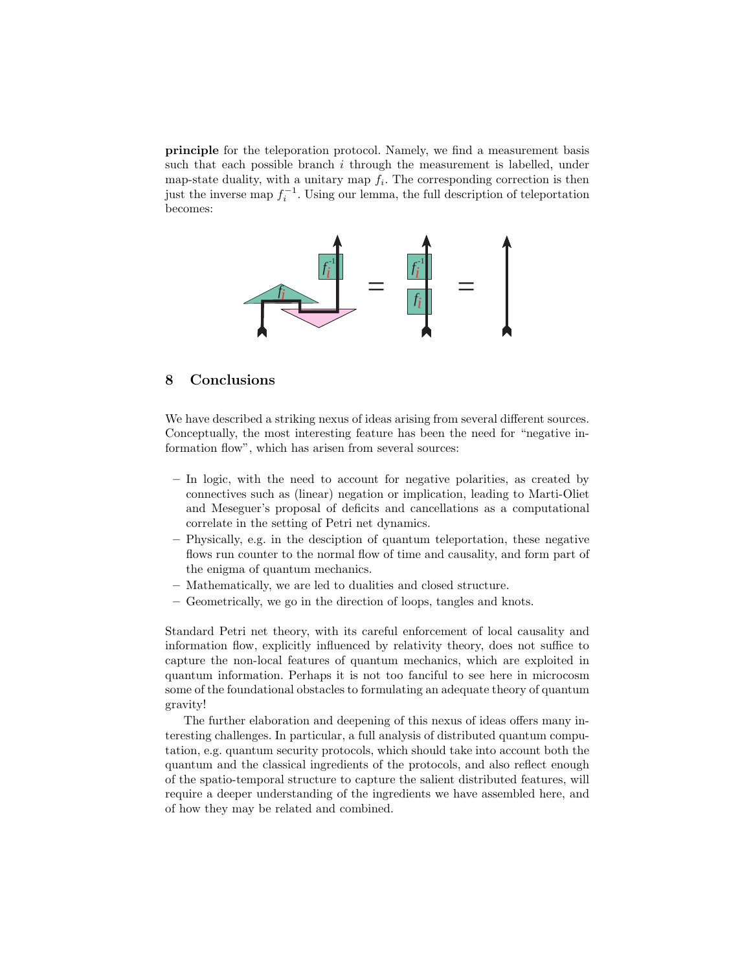principle for the teleporation protocol. Namely, we find a measurement basis such that each possible branch  $i$  through the measurement is labelled, under map-state duality, with a unitary map  $f_i$ . The corresponding correction is then just the inverse map  $f_i^{-1}$ . Using our lemma, the full description of teleportation becomes:



# 8 Conclusions

We have described a striking nexus of ideas arising from several different sources. Conceptually, the most interesting feature has been the need for "negative information flow", which has arisen from several sources:

- In logic, with the need to account for negative polarities, as created by connectives such as (linear) negation or implication, leading to Marti-Oliet and Meseguer's proposal of deficits and cancellations as a computational correlate in the setting of Petri net dynamics.
- Physically, e.g. in the desciption of quantum teleportation, these negative flows run counter to the normal flow of time and causality, and form part of the enigma of quantum mechanics.
- Mathematically, we are led to dualities and closed structure.
- Geometrically, we go in the direction of loops, tangles and knots.

Standard Petri net theory, with its careful enforcement of local causality and information flow, explicitly influenced by relativity theory, does not suffice to capture the non-local features of quantum mechanics, which are exploited in quantum information. Perhaps it is not too fanciful to see here in microcosm some of the foundational obstacles to formulating an adequate theory of quantum gravity!

The further elaboration and deepening of this nexus of ideas offers many interesting challenges. In particular, a full analysis of distributed quantum computation, e.g. quantum security protocols, which should take into account both the quantum and the classical ingredients of the protocols, and also reflect enough of the spatio-temporal structure to capture the salient distributed features, will require a deeper understanding of the ingredients we have assembled here, and of how they may be related and combined.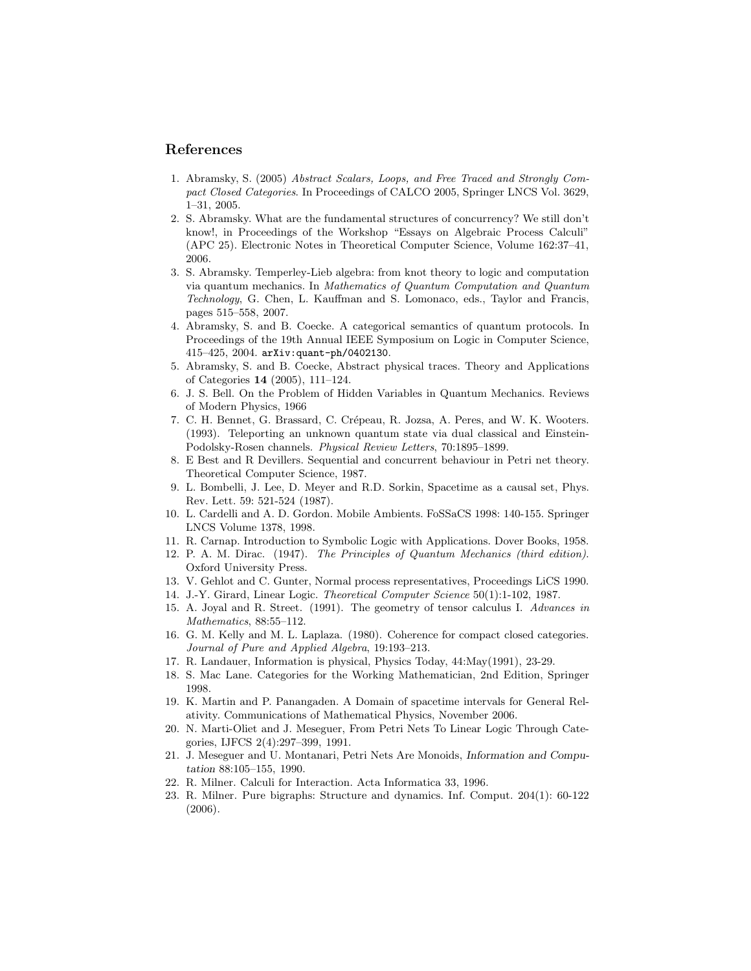## References

- 1. Abramsky, S. (2005) Abstract Scalars, Loops, and Free Traced and Strongly Compact Closed Categories. In Proceedings of CALCO 2005, Springer LNCS Vol. 3629, 1–31, 2005.
- 2. S. Abramsky. What are the fundamental structures of concurrency? We still don't know!, in Proceedings of the Workshop "Essays on Algebraic Process Calculi" (APC 25). Electronic Notes in Theoretical Computer Science, Volume 162:37–41, 2006.
- 3. S. Abramsky. Temperley-Lieb algebra: from knot theory to logic and computation via quantum mechanics. In Mathematics of Quantum Computation and Quantum Technology, G. Chen, L. Kauffman and S. Lomonaco, eds., Taylor and Francis, pages 515–558, 2007.
- 4. Abramsky, S. and B. Coecke. A categorical semantics of quantum protocols. In Proceedings of the 19th Annual IEEE Symposium on Logic in Computer Science, 415–425, 2004. arXiv:quant-ph/0402130.
- 5. Abramsky, S. and B. Coecke, Abstract physical traces. Theory and Applications of Categories 14 (2005), 111–124.
- 6. J. S. Bell. On the Problem of Hidden Variables in Quantum Mechanics. Reviews of Modern Physics, 1966
- 7. C. H. Bennet, G. Brassard, C. Crépeau, R. Jozsa, A. Peres, and W. K. Wooters. (1993). Teleporting an unknown quantum state via dual classical and Einstein-Podolsky-Rosen channels. Physical Review Letters, 70:1895–1899.
- 8. E Best and R Devillers. Sequential and concurrent behaviour in Petri net theory. Theoretical Computer Science, 1987.
- 9. L. Bombelli, J. Lee, D. Meyer and R.D. Sorkin, Spacetime as a causal set, Phys. Rev. Lett. 59: 521-524 (1987).
- 10. L. Cardelli and A. D. Gordon. Mobile Ambients. FoSSaCS 1998: 140-155. Springer LNCS Volume 1378, 1998.
- 11. R. Carnap. Introduction to Symbolic Logic with Applications. Dover Books, 1958.
- 12. P. A. M. Dirac. (1947). The Principles of Quantum Mechanics (third edition). Oxford University Press.
- 13. V. Gehlot and C. Gunter, Normal process representatives, Proceedings LiCS 1990.
- 14. J.-Y. Girard, Linear Logic. Theoretical Computer Science 50(1):1-102, 1987.
- 15. A. Joyal and R. Street. (1991). The geometry of tensor calculus I. Advances in Mathematics, 88:55–112.
- 16. G. M. Kelly and M. L. Laplaza. (1980). Coherence for compact closed categories. Journal of Pure and Applied Algebra, 19:193–213.
- 17. R. Landauer, Information is physical, Physics Today, 44:May(1991), 23-29.
- 18. S. Mac Lane. Categories for the Working Mathematician, 2nd Edition, Springer 1998.
- 19. K. Martin and P. Panangaden. A Domain of spacetime intervals for General Relativity. Communications of Mathematical Physics, November 2006.
- 20. N. Marti-Oliet and J. Meseguer, From Petri Nets To Linear Logic Through Categories, IJFCS 2(4):297–399, 1991.
- 21. J. Meseguer and U. Montanari, Petri Nets Are Monoids, Information and Computation 88:105–155, 1990.
- 22. R. Milner. Calculi for Interaction. Acta Informatica 33, 1996.
- 23. R. Milner. Pure bigraphs: Structure and dynamics. Inf. Comput. 204(1): 60-122 (2006).